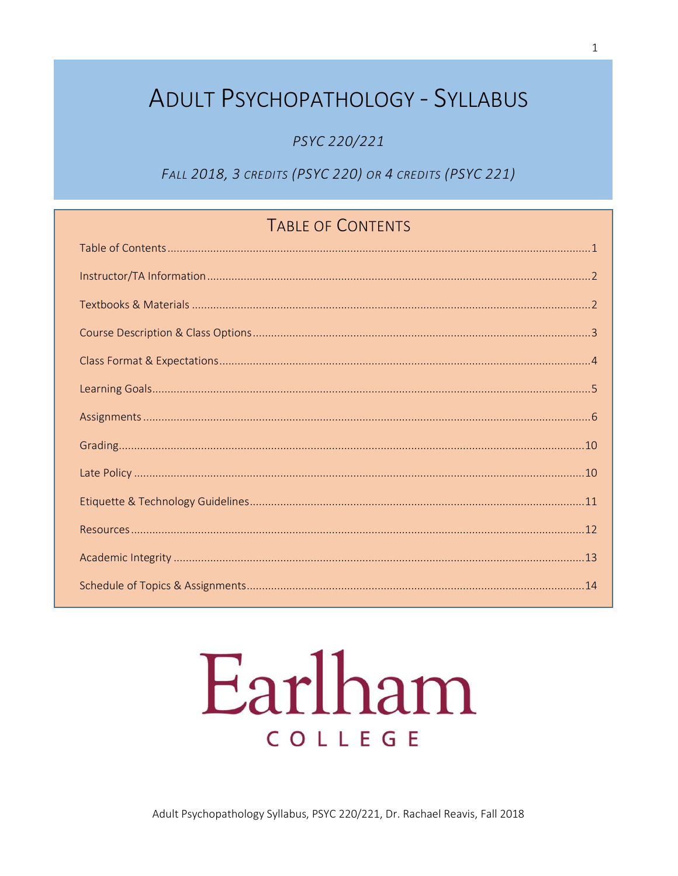## **ADULT PSYCHOPATHOLOGY - SYLLABUS**

PSYC 220/221

FALL 2018, 3 CREDITS (PSYC 220) OR 4 CREDITS (PSYC 221)

## TABLE OF CONTENTS

# Earlham COLLEGE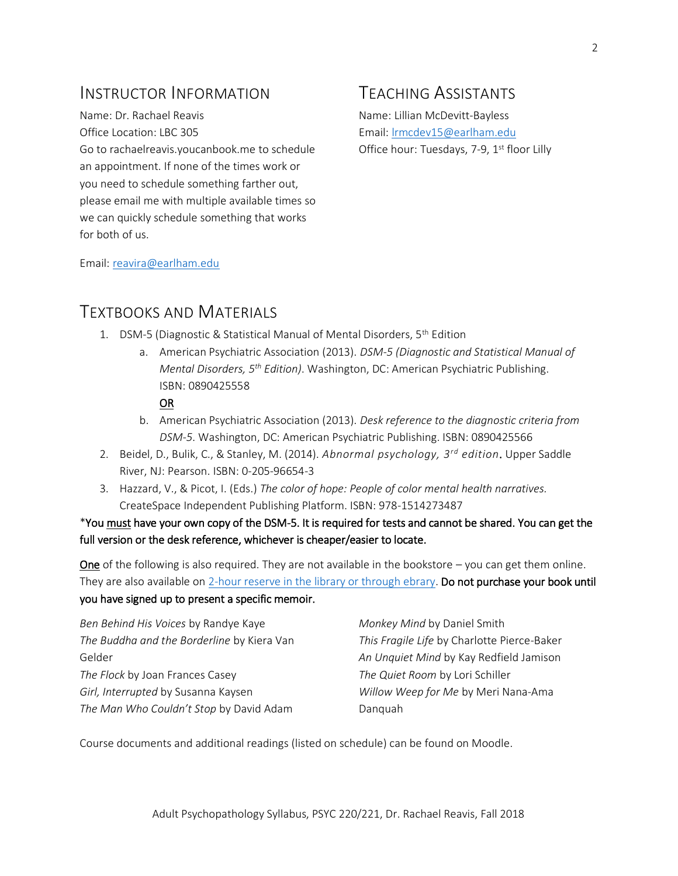### INSTRUCTOR INFORMATION

Name: Dr. Rachael Reavis Office Location: LBC 305 Go to rachaelreavis.youcanbook.me to schedule an appointment. If none of the times work or you need to schedule something farther out, please email me with multiple available times so we can quickly schedule something that works for both of us.

## TEACHING ASSISTANTS

Name: Lillian McDevitt-Bayless Email[: lrmcdev15@earlham.edu](mailto:lrmcdev15@earlham.edu) Office hour: Tuesdays, 7-9, 1<sup>st</sup> floor Lilly

Email[: reavira@earlham.edu](mailto:reavira@earlham.edu)

#### TEXTBOOKS AND MATERIALS

- 1. DSM-5 (Diagnostic & Statistical Manual of Mental Disorders, 5th Edition
	- a. American Psychiatric Association (2013). *DSM-5 (Diagnostic and Statistical Manual of Mental Disorders, 5th Edition)*. Washington, DC: American Psychiatric Publishing. ISBN: 0890425558

#### OR

- b. American Psychiatric Association (2013). *Desk reference to the diagnostic criteria from DSM-5*. Washington, DC: American Psychiatric Publishing. ISBN: 0890425566
- 2. Beidel, D., Bulik, C., & Stanley, M. (2014). *Abnormal psychology, 3rd edition*. Upper Saddle River, NJ: Pearson. ISBN: 0-205-96654-3
- 3. Hazzard, V., & Picot, I. (Eds.) *The color of hope: People of color mental health narratives.* CreateSpace Independent Publishing Platform. ISBN: 978-1514273487

#### \*You must have your own copy of the DSM-5. It is required for tests and cannot be shared. You can get the full version or the desk reference, whichever is cheaper/easier to locate.

One of the following is also required. They are not available in the bookstore – you can get them online. They are also available on [2-hour reserve in the library or through ebrary.](http://earlham.worldcat.org/coursereserves/course/fetch/6844400) Do not purchase your book until you have signed up to present a specific memoir.

| Ben Behind His Voices by Randye Kaye       | Monkey Mind by Daniel Smith                 |
|--------------------------------------------|---------------------------------------------|
| The Buddha and the Borderline by Kiera Van | This Fragile Life by Charlotte Pierce-Baker |
| Gelder                                     | An Unquiet Mind by Kay Redfield Jamison     |
| The Flock by Joan Frances Casey            | The Quiet Room by Lori Schiller             |
| Girl, Interrupted by Susanna Kaysen        | Willow Weep for Me by Meri Nana-Ama         |
| The Man Who Couldn't Stop by David Adam    | Danguah                                     |

Course documents and additional readings (listed on schedule) can be found on Moodle.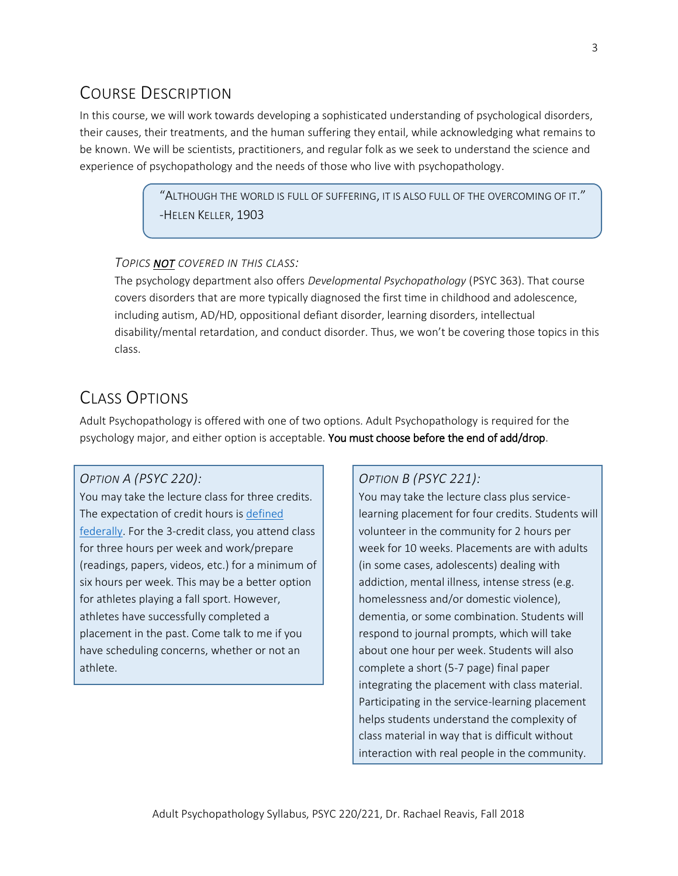## COURSE DESCRIPTION

In this course, we will work towards developing a sophisticated understanding of psychological disorders, their causes, their treatments, and the human suffering they entail, while acknowledging what remains to be known. We will be scientists, practitioners, and regular folk as we seek to understand the science and experience of psychopathology and the needs of those who live with psychopathology.

> $\lq$ ALTHOUGH THE WORLD IS FULL OF SUFFERING, IT IS ALSO FULL OF THE OVERCOMING OF IT. $\rlap{.}''$ -HELEN KELLER, 1903

#### *TOPICS NOT COVERED IN THIS CLASS:*

The psychology department also offers *Developmental Psychopathology* (PSYC 363). That course covers disorders that are more typically diagnosed the first time in childhood and adolescence, including autism, AD/HD, oppositional defiant disorder, learning disorders, intellectual disability/mental retardation, and conduct disorder. Thus, we won't be covering those topics in this class.

## CLASS OPTIONS

Adult Psychopathology is offered with one of two options. Adult Psychopathology is required for the psychology major, and either option is acceptable. You must choose before the end of add/drop.

#### *OPTION A (PSYC 220):*

You may take the lecture class for three credits. The expectation of credit hours is [defined](http://www.ecfr.gov/cgi-bin/text-idx?rgn=div8&node=34:3.1.3.1.1.1.23.2)  [federally.](http://www.ecfr.gov/cgi-bin/text-idx?rgn=div8&node=34:3.1.3.1.1.1.23.2) For the 3-credit class, you attend class for three hours per week and work/prepare (readings, papers, videos, etc.) for a minimum of six hours per week. This may be a better option for athletes playing a fall sport. However, athletes have successfully completed a placement in the past. Come talk to me if you have scheduling concerns, whether or not an athlete.

#### *OPTION B (PSYC 221):*

You may take the lecture class plus servicelearning placement for four credits. Students will volunteer in the community for 2 hours per week for 10 weeks. Placements are with adults (in some cases, adolescents) dealing with addiction, mental illness, intense stress (e.g. homelessness and/or domestic violence), dementia, or some combination. Students will respond to journal prompts, which will take about one hour per week. Students will also complete a short (5-7 page) final paper integrating the placement with class material. Participating in the service-learning placement helps students understand the complexity of class material in way that is difficult without interaction with real people in the community.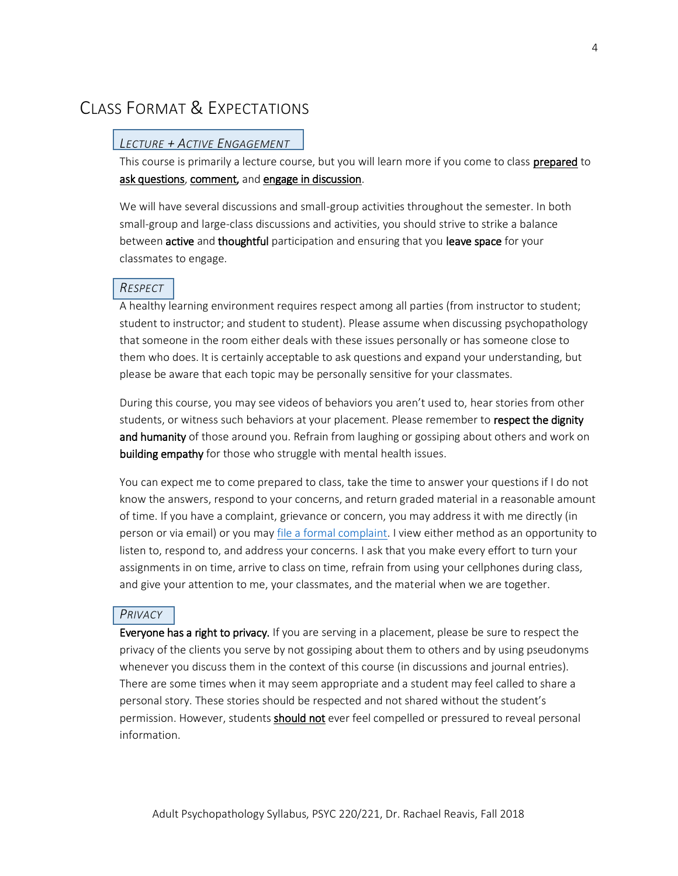## CLASS FORMAT & EXPECTATIONS

#### *LECTURE + ACTIVE ENGAGEMENT*

This course is primarily a lecture course, but you will learn more if you come to class prepared to ask questions, comment, and engage in discussion.

We will have several discussions and small-group activities throughout the semester. In both small-group and large-class discussions and activities, you should strive to strike a balance between active and thoughtful participation and ensuring that you leave space for your classmates to engage.

#### *RESPECT*

A healthy learning environment requires respect among all parties (from instructor to student; student to instructor; and student to student). Please assume when discussing psychopathology that someone in the room either deals with these issues personally or has someone close to them who does. It is certainly acceptable to ask questions and expand your understanding, but please be aware that each topic may be personally sensitive for your classmates.

During this course, you may see videos of behaviors you aren't used to, hear stories from other students, or witness such behaviors at your placement. Please remember to respect the dignity and humanity of those around you. Refrain from laughing or gossiping about others and work on building empathy for those who struggle with mental health issues.

You can expect me to come prepared to class, take the time to answer your questions if I do not know the answers, respond to your concerns, and return graded material in a reasonable amount of time. If you have a complaint, grievance or concern, you may address it with me directly (in person or via email) or you may [file a formal complaint.](http://www.earlham.edu/policies-and-handbooks/general/student-consumer-complaint-process/) I view either method as an opportunity to listen to, respond to, and address your concerns. I ask that you make every effort to turn your assignments in on time, arrive to class on time, refrain from using your cellphones during class, and give your attention to me, your classmates, and the material when we are together.

#### *PRIVACY*

Everyone has a right to privacy. If you are serving in a placement, please be sure to respect the privacy of the clients you serve by not gossiping about them to others and by using pseudonyms whenever you discuss them in the context of this course (in discussions and journal entries). There are some times when it may seem appropriate and a student may feel called to share a personal story. These stories should be respected and not shared without the student's permission. However, students should not ever feel compelled or pressured to reveal personal information.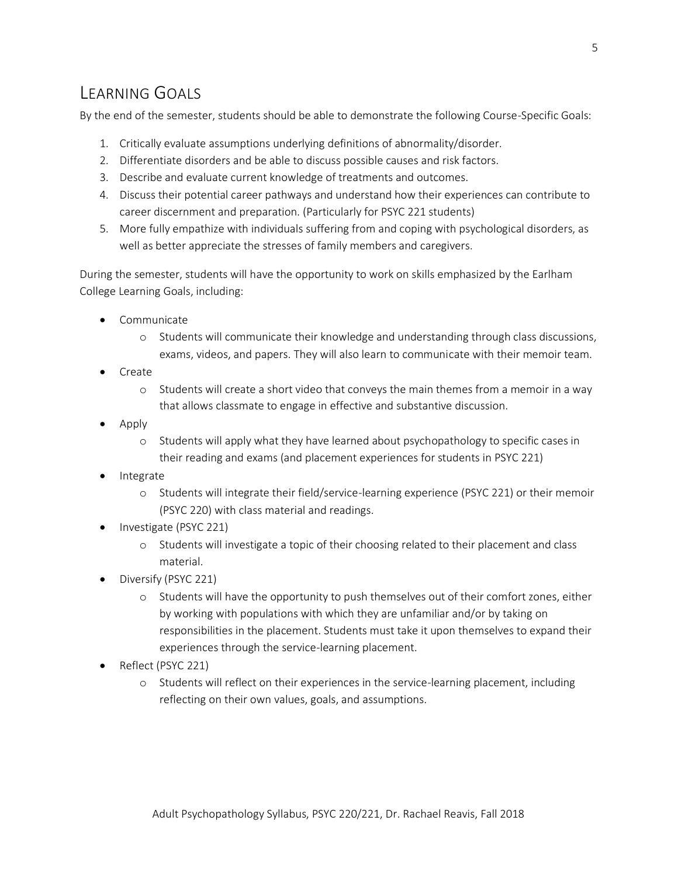## LEARNING GOALS

By the end of the semester, students should be able to demonstrate the following Course-Specific Goals:

- 1. Critically evaluate assumptions underlying definitions of abnormality/disorder.
- 2. Differentiate disorders and be able to discuss possible causes and risk factors.
- 3. Describe and evaluate current knowledge of treatments and outcomes.
- 4. Discuss their potential career pathways and understand how their experiences can contribute to career discernment and preparation. (Particularly for PSYC 221 students)
- 5. More fully empathize with individuals suffering from and coping with psychological disorders, as well as better appreciate the stresses of family members and caregivers.

During the semester, students will have the opportunity to work on skills emphasized by the Earlham College Learning Goals, including:

- Communicate
	- o Students will communicate their knowledge and understanding through class discussions, exams, videos, and papers. They will also learn to communicate with their memoir team.
- Create
	- o Students will create a short video that conveys the main themes from a memoir in a way that allows classmate to engage in effective and substantive discussion.
- Apply
	- o Students will apply what they have learned about psychopathology to specific cases in their reading and exams (and placement experiences for students in PSYC 221)
- **Integrate** 
	- o Students will integrate their field/service-learning experience (PSYC 221) or their memoir (PSYC 220) with class material and readings.
- Investigate (PSYC 221)
	- o Students will investigate a topic of their choosing related to their placement and class material.
- Diversify (PSYC 221)
	- o Students will have the opportunity to push themselves out of their comfort zones, either by working with populations with which they are unfamiliar and/or by taking on responsibilities in the placement. Students must take it upon themselves to expand their experiences through the service-learning placement.
- Reflect (PSYC 221)
	- o Students will reflect on their experiences in the service-learning placement, including reflecting on their own values, goals, and assumptions.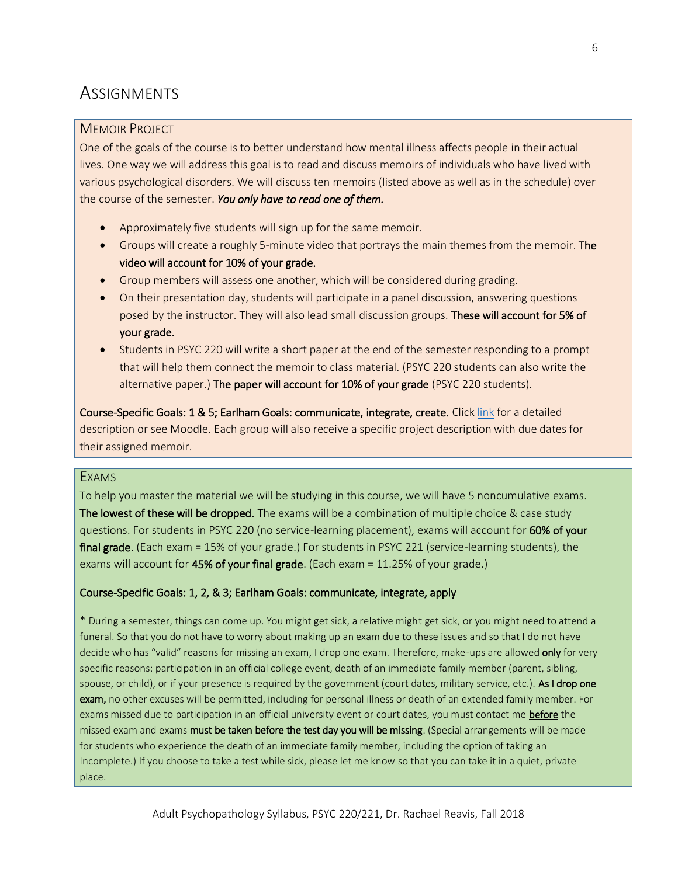## **ASSIGNMENTS**

#### MEMOIR PROJECT

One of the goals of the course is to better understand how mental illness affects people in their actual lives. One way we will address this goal is to read and discuss memoirs of individuals who have lived with various psychological disorders. We will discuss ten memoirs (listed above as well as in the schedule) over the course of the semester. *You only have to read one of them.*

- Approximately five students will sign up for the same memoir.
- Groups will create a roughly 5-minute video that portrays the main themes from the memoir. The video will account for 10% of your grade.
- Group members will assess one another, which will be considered during grading.
- On their presentation day, students will participate in a panel discussion, answering questions posed by the instructor. They will also lead small discussion groups. These will account for 5% of your grade.
- Students in PSYC 220 will write a short paper at the end of the semester responding to a prompt that will help them connect the memoir to class material. (PSYC 220 students can also write the alternative paper.) The paper will account for 10% of your grade (PSYC 220 students).

Course-Specific Goals: 1 & 5; Earlham Goals: communicate, integrate, create. Click [link](https://www.dropbox.com/s/35dbbk5ohlkvz1j/01%20-%20General%20Memoir%20Project%20Guidelines%20-%20PUBLIC%20DO%20NOT%20CHANGE.docx?dl=0) for a detailed description or see Moodle. Each group will also receive a specific project description with due dates for their assigned memoir.

#### EXAMS

To help you master the material we will be studying in this course, we will have 5 noncumulative exams. The lowest of these will be dropped. The exams will be a combination of multiple choice & case study questions. For students in PSYC 220 (no service-learning placement), exams will account for 60% of your final grade. (Each exam = 15% of your grade.) For students in PSYC 221 (service-learning students), the exams will account for  $45%$  of your final grade. (Each exam = 11.25% of your grade.)

#### Course-Specific Goals: 1, 2, & 3; Earlham Goals: communicate, integrate, apply

\* During a semester, things can come up. You might get sick, a relative might get sick, or you might need to attend a funeral. So that you do not have to worry about making up an exam due to these issues and so that I do not have decide who has "valid" reasons for missing an exam, I drop one exam. Therefore, make-ups are allowed only for very specific reasons: participation in an official college event, death of an immediate family member (parent, sibling, spouse, or child), or if your presence is required by the government (court dates, military service, etc.). As I drop one exam, no other excuses will be permitted, including for personal illness or death of an extended family member. For exams missed due to participation in an official university event or court dates, you must contact me before the missed exam and exams must be taken before the test day you will be missing. (Special arrangements will be made for students who experience the death of an immediate family member, including the option of taking an Incomplete.) If you choose to take a test while sick, please let me know so that you can take it in a quiet, private place.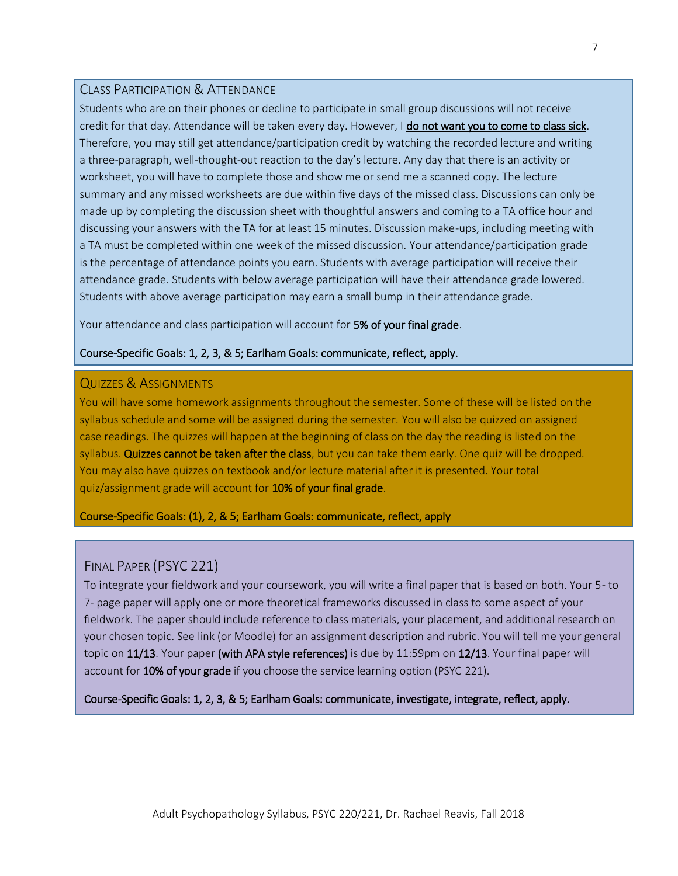#### CLASS PARTICIPATION & ATTENDANCE

Students who are on their phones or decline to participate in small group discussions will not receive credit for that day. Attendance will be taken every day. However, I do not want you to come to class sick. Therefore, you may still get attendance/participation credit by watching the recorded lecture and writing a three-paragraph, well-thought-out reaction to the day's lecture. Any day that there is an activity or worksheet, you will have to complete those and show me or send me a scanned copy. The lecture summary and any missed worksheets are due within five days of the missed class. Discussions can only be made up by completing the discussion sheet with thoughtful answers and coming to a TA office hour and discussing your answers with the TA for at least 15 minutes. Discussion make-ups, including meeting with a TA must be completed within one week of the missed discussion. Your attendance/participation grade is the percentage of attendance points you earn. Students with average participation will receive their attendance grade. Students with below average participation will have their attendance grade lowered. Students with above average participation may earn a small bump in their attendance grade.

Your attendance and class participation will account for 5% of your final grade.

#### Course-Specific Goals: 1, 2, 3, & 5; Earlham Goals: communicate, reflect, apply.

#### QUIZZES & ASSIGNMENTS

You will have some homework assignments throughout the semester. Some of these will be listed on the syllabus schedule and some will be assigned during the semester. You will also be quizzed on assigned case readings. The quizzes will happen at the beginning of class on the day the reading is listed on the syllabus. Quizzes cannot be taken after the class, but you can take them early. One quiz will be dropped. You may also have quizzes on textbook and/or lecture material after it is presented. Your total quiz/assignment grade will account for 10% of your final grade.

#### Course-Specific Goals: (1), 2, & 5; Earlham Goals: communicate, reflect, apply

#### FINAL PAPER (PSYC 221)

To integrate your fieldwork and your coursework, you will write a final paper that is based on both. Your 5- to 7- page paper will apply one or more theoretical frameworks discussed in class to some aspect of your fieldwork. The paper should include reference to class materials, your placement, and additional research on your chosen topic. See [link](https://www.dropbox.com/s/6jcl8x493y3jurv/Final%20Paper%20Guidelines%20%26%20Rubric%20-%20PUBLIC%20DO%20NOT%20CHANGE.docx?dl=0) (or Moodle) for an assignment description and rubric. You will tell me your general topic on 11/13. Your paper (with APA style references) is due by 11:59pm on 12/13. Your final paper will account for 10% of your grade if you choose the service learning option (PSYC 221).

Course-Specific Goals: 1, 2, 3, & 5; Earlham Goals: communicate, investigate, integrate, reflect, apply.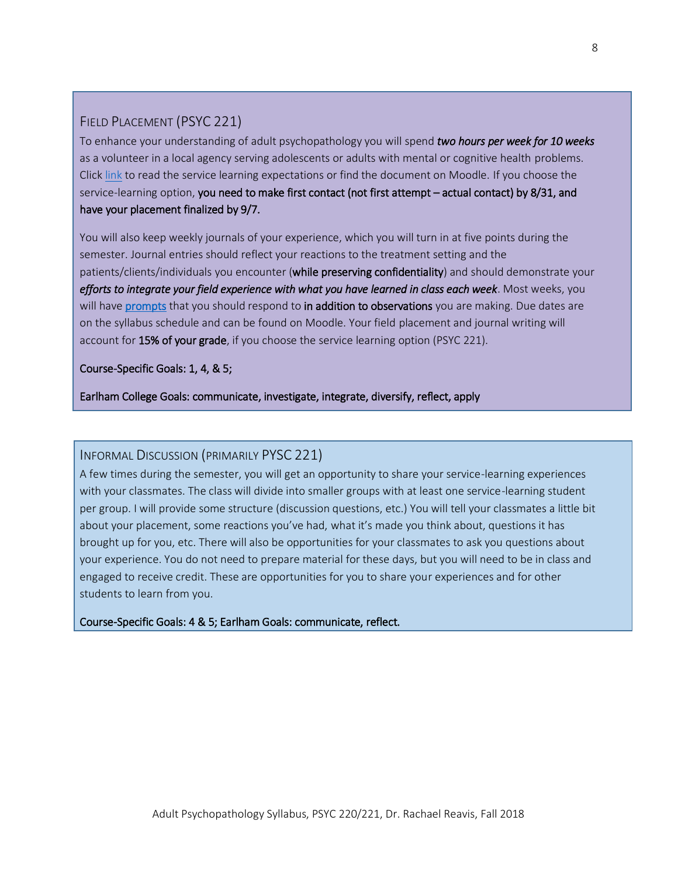#### FIELD PLACEMENT (PSYC 221)

To enhance your understanding of adult psychopathology you will spend *two hours per week for 10 weeks* as a volunteer in a local agency serving adolescents or adults with mental or cognitive health problems. Click [link](https://www.dropbox.com/s/7w2n0ttmz55bh3m/Service%20Learning%20Expectations%20-%20Adult%20Psychopathology%20-%20Fall%202018%20-%20PUBLIC%20DO%20NOT%20CHANGE.pdf?dl=0) to read the service learning expectations or find the document on Moodle. If you choose the service-learning option, you need to make first contact (not first attempt – actual contact) by 8/31, and have your placement finalized by 9/7.

You will also keep weekly journals of your experience, which you will turn in at five points during the semester. Journal entries should reflect your reactions to the treatment setting and the patients/clients/individuals you encounter (while preserving confidentiality) and should demonstrate your *efforts to integrate your field experience with what you have learned in class each week*. Most weeks, you will have [prompts](https://www.dropbox.com/s/1vh0meyvnub2yxv/Journal%20Entry%20Prompts%20-%202018%20-%20PUBLIC%20DO%20NOT%20CHANGE.docx?dl=0) that you should respond to in addition to observations you are making. Due dates are on the syllabus schedule and can be found on Moodle. Your field placement and journal writing will account for 15% of your grade, if you choose the service learning option (PSYC 221).

#### Course-Specific Goals: 1, 4, & 5;

Earlham College Goals: communicate, investigate, integrate, diversify, reflect, apply

#### INFORMAL DISCUSSION (PRIMARILY PYSC 221)

A few times during the semester, you will get an opportunity to share your service-learning experiences with your classmates. The class will divide into smaller groups with at least one service-learning student per group. I will provide some structure (discussion questions, etc.) You will tell your classmates a little bit about your placement, some reactions you've had, what it's made you think about, questions it has brought up for you, etc. There will also be opportunities for your classmates to ask you questions about your experience. You do not need to prepare material for these days, but you will need to be in class and engaged to receive credit. These are opportunities for you to share your experiences and for other students to learn from you.

Course-Specific Goals: 4 & 5; Earlham Goals: communicate, reflect.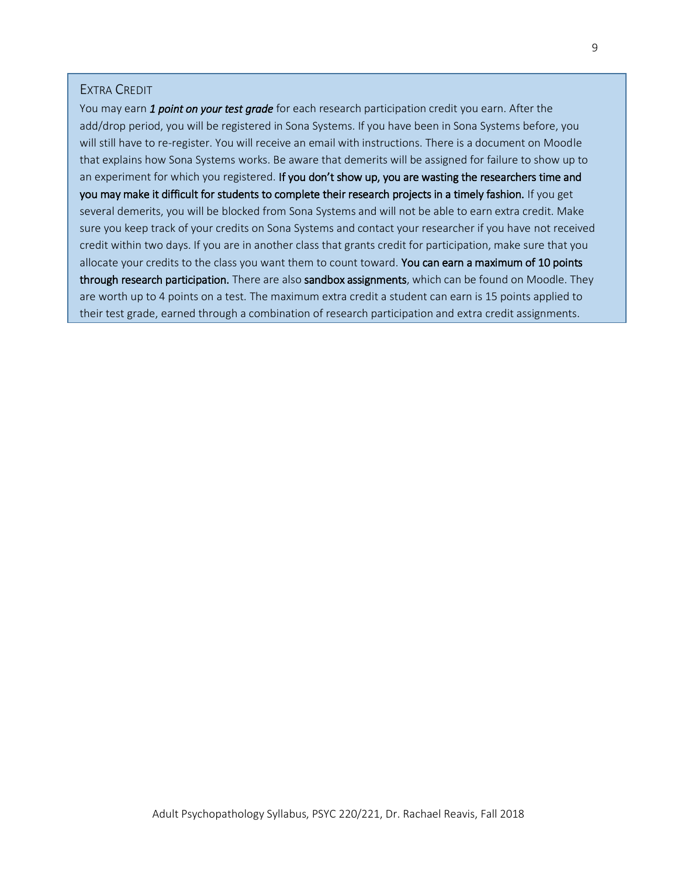#### EXTRA CREDIT

You may earn *1 point on your test grade* for each research participation credit you earn. After the add/drop period, you will be registered in Sona Systems. If you have been in Sona Systems before, you will still have to re-register. You will receive an email with instructions. There is a document on Moodle that explains how Sona Systems works. Be aware that demerits will be assigned for failure to show up to an experiment for which you registered. If you don't show up, you are wasting the researchers time and you may make it difficult for students to complete their research projects in a timely fashion. If you get several demerits, you will be blocked from Sona Systems and will not be able to earn extra credit. Make sure you keep track of your credits on Sona Systems and contact your researcher if you have not received credit within two days. If you are in another class that grants credit for participation, make sure that you allocate your credits to the class you want them to count toward. You can earn a maximum of 10 points through research participation. There are also sandbox assignments, which can be found on Moodle. They are worth up to 4 points on a test. The maximum extra credit a student can earn is 15 points applied to their test grade, earned through a combination of research participation and extra credit assignments.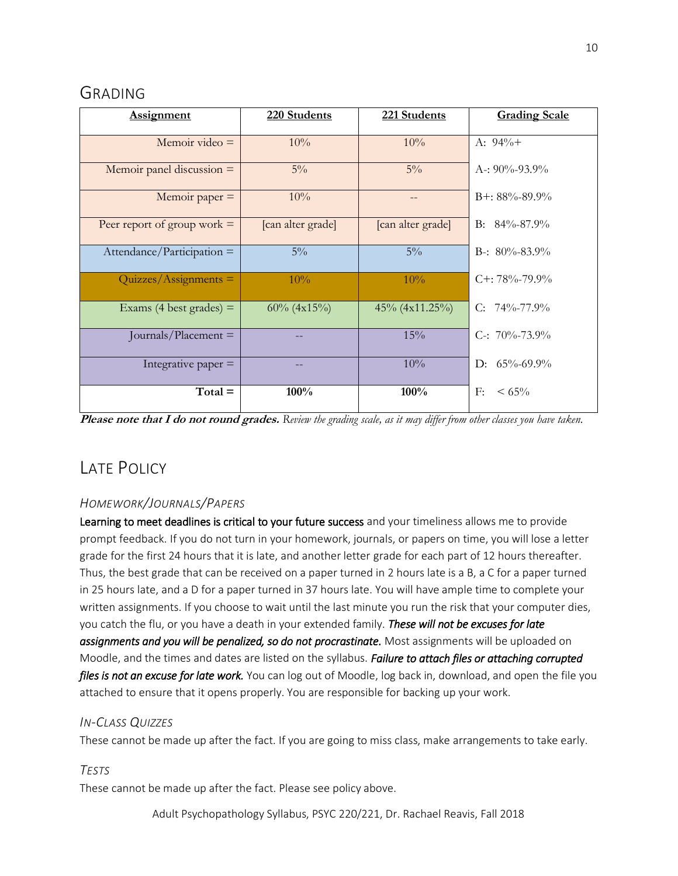## GRADING

| <b>Assignment</b>             | 220 Students      | 221 Students      | <b>Grading Scale</b> |
|-------------------------------|-------------------|-------------------|----------------------|
| Memoir video $=$              | 10%               | 10%               | A: $94\%+$           |
| Memoir panel discussion $=$   | $5\%$             | $5\%$             | A-: $90\% - 93.9\%$  |
| Memoir paper $=$              | 10%               |                   | $B+: 88\% - 89.9\%$  |
| Peer report of group work $=$ | [can alter grade] | [can alter grade] | B: $84\% - 87.9\%$   |
| $Attendance/Participation =$  | $5\%$             | $5\%$             | B-: $80\% - 83.9\%$  |
| $Quizzes/Assigaments =$       | 10%               | 10%               | $C_{+}$ : 78%-79.9%  |
| Exams (4 best grades) $=$     | $60\%$ (4x15%)    | 45% (4x11.25%)    | C: $74\% - 77.9\%$   |
| Journals/Placement $=$        |                   | 15%               | C-: $70\% - 73.9\%$  |
| Integrative paper $=$         |                   | 10%               | D: $65\% - 69.9\%$   |
| $Total =$                     | 100%              | 100%              | F:<br>$< 65\%$       |

**Please note that I do not round grades.** *Review the grading scale, as it may differ from other classes you have taken.*

## LATE POLICY

#### *HOMEWORK/JOURNALS/PAPERS*

Learning to meet deadlines is critical to your future success and your timeliness allows me to provide prompt feedback. If you do not turn in your homework, journals, or papers on time, you will lose a letter grade for the first 24 hours that it is late, and another letter grade for each part of 12 hours thereafter. Thus, the best grade that can be received on a paper turned in 2 hours late is a B, a C for a paper turned in 25 hours late, and a D for a paper turned in 37 hours late. You will have ample time to complete your written assignments. If you choose to wait until the last minute you run the risk that your computer dies, you catch the flu, or you have a death in your extended family. *These will not be excuses for late assignments and you will be penalized, so do not procrastinate.* Most assignments will be uploaded on Moodle, and the times and dates are listed on the syllabus. *Failure to attach files or attaching corrupted files is not an excuse for late work.* You can log out of Moodle, log back in, download, and open the file you attached to ensure that it opens properly. You are responsible for backing up your work.

#### *IN-CLASS QUIZZES*

These cannot be made up after the fact. If you are going to miss class, make arrangements to take early.

#### *TESTS*

These cannot be made up after the fact. Please see policy above.

Adult Psychopathology Syllabus, PSYC 220/221, Dr. Rachael Reavis, Fall 2018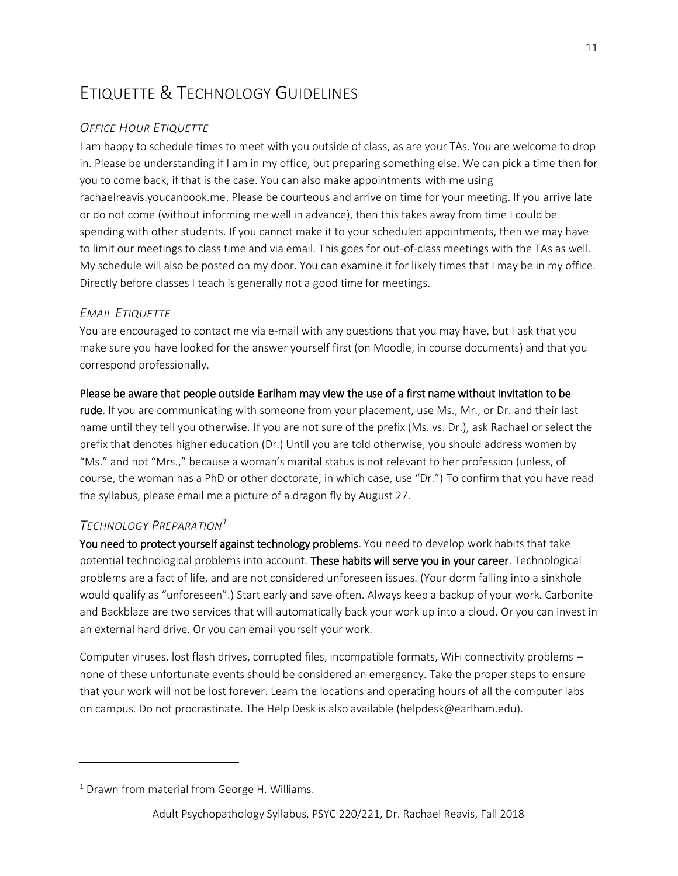## ETIQUETTE & TECHNOLOGY GUIDELINES

#### *OFFICE HOUR ETIQUETTE*

I am happy to schedule times to meet with you outside of class, as are your TAs. You are welcome to drop in. Please be understanding if I am in my office, but preparing something else. We can pick a time then for you to come back, if that is the case. You can also make appointments with me using rachaelreavis.youcanbook.me. Please be courteous and arrive on time for your meeting. If you arrive late or do not come (without informing me well in advance), then this takes away from time I could be spending with other students. If you cannot make it to your scheduled appointments, then we may have to limit our meetings to class time and via email. This goes for out-of-class meetings with the TAs as well. My schedule will also be posted on my door. You can examine it for likely times that I may be in my office. Directly before classes I teach is generally not a good time for meetings.

#### *EMAIL ETIQUETTE*

You are encouraged to contact me via e-mail with any questions that you may have, but I ask that you make sure you have looked for the answer yourself first (on Moodle, in course documents) and that you correspond professionally.

#### Please be aware that people outside Earlham may view the use of a first name without invitation to be

rude. If you are communicating with someone from your placement, use Ms., Mr., or Dr. and their last name until they tell you otherwise. If you are not sure of the prefix (Ms. vs. Dr.), ask Rachael or select the prefix that denotes higher education (Dr.) Until you are told otherwise, you should address women by "Ms." and not "Mrs.," because a woman's marital status is not relevant to her profession (unless, of course, the woman has a PhD or other doctorate, in which case, use "Dr.") To confirm that you have read the syllabus, please email me a picture of a dragon fly by August 27.

#### *TECHNOLOGY PREPARATION<sup>1</sup>*

 $\overline{a}$ 

You need to protect yourself against technology problems. You need to develop work habits that take potential technological problems into account. These habits will serve you in your career. Technological problems are a fact of life, and are not considered unforeseen issues. (Your dorm falling into a sinkhole would qualify as "unforeseen".) Start early and save often. Always keep a backup of your work. Carbonite and Backblaze are two services that will automatically back your work up into a cloud. Or you can invest in an external hard drive. Or you can email yourself your work.

Computer viruses, lost flash drives, corrupted files, incompatible formats, WiFi connectivity problems – none of these unfortunate events should be considered an emergency. Take the proper steps to ensure that your work will not be lost forever. Learn the locations and operating hours of all the computer labs on campus. Do not procrastinate. The Help Desk is also available (helpdesk@earlham.edu).

 $1$  Drawn from material from George H. Williams.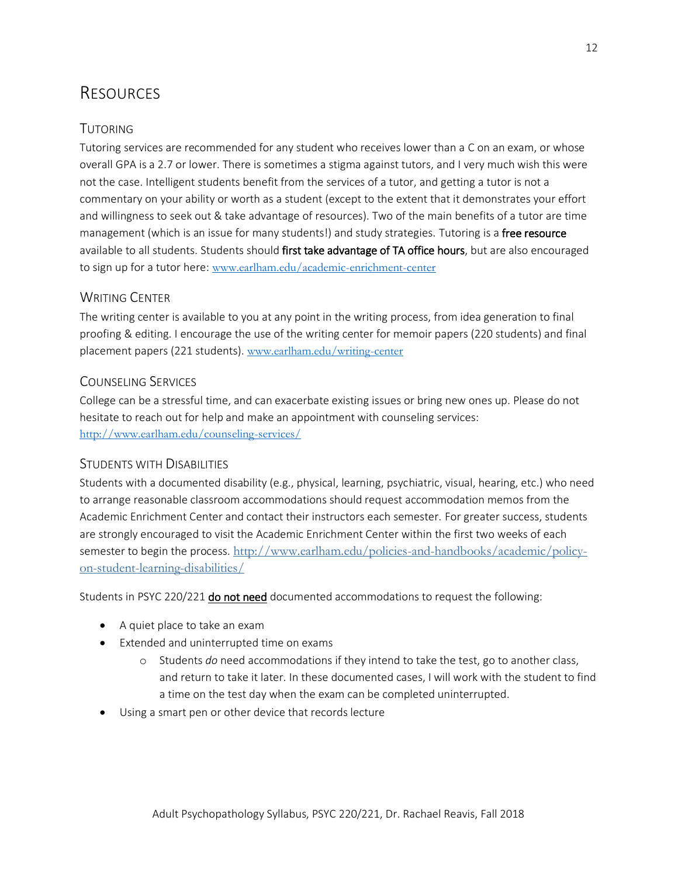## RESOURCES

#### TUTORING

Tutoring services are recommended for any student who receives lower than a C on an exam, or whose overall GPA is a 2.7 or lower. There is sometimes a stigma against tutors, and I very much wish this were not the case. Intelligent students benefit from the services of a tutor, and getting a tutor is not a commentary on your ability or worth as a student (except to the extent that it demonstrates your effort and willingness to seek out & take advantage of resources). Two of the main benefits of a tutor are time management (which is an issue for many students!) and study strategies. Tutoring is a free resource available to all students. Students should first take advantage of TA office hours, but are also encouraged to sign up for a tutor here: [www.earlham.edu/academic-enrichment-center](http://www.earlham.edu/academic-enrichment-center)

#### WRITING CENTER

The writing center is available to you at any point in the writing process, from idea generation to final proofing & editing. I encourage the use of the writing center for memoir papers (220 students) and final placement papers (221 students). [www.earlham.edu/writing-center](http://www.earlham.edu/writing-center)

#### COUNSELING SERVICES

College can be a stressful time, and can exacerbate existing issues or bring new ones up. Please do not hesitate to reach out for help and make an appointment with counseling services: <http://www.earlham.edu/counseling-services/>

#### STUDENTS WITH DISABILITIES

Students with a documented disability (e.g., physical, learning, psychiatric, visual, hearing, etc.) who need to arrange reasonable classroom accommodations should request accommodation memos from the Academic Enrichment Center and contact their instructors each semester. For greater success, students are strongly encouraged to visit the Academic Enrichment Center within the first two weeks of each semester to begin the process. [http://www.earlham.edu/policies-and-handbooks/academic/policy](http://www.earlham.edu/policies-and-handbooks/academic/policy-on-student-learning-disabilities/)[on-student-learning-disabilities/](http://www.earlham.edu/policies-and-handbooks/academic/policy-on-student-learning-disabilities/)

Students in PSYC 220/221 do not need documented accommodations to request the following:

- A quiet place to take an exam
- Extended and uninterrupted time on exams
	- o Students *do* need accommodations if they intend to take the test, go to another class, and return to take it later. In these documented cases, I will work with the student to find a time on the test day when the exam can be completed uninterrupted.
- Using a smart pen or other device that records lecture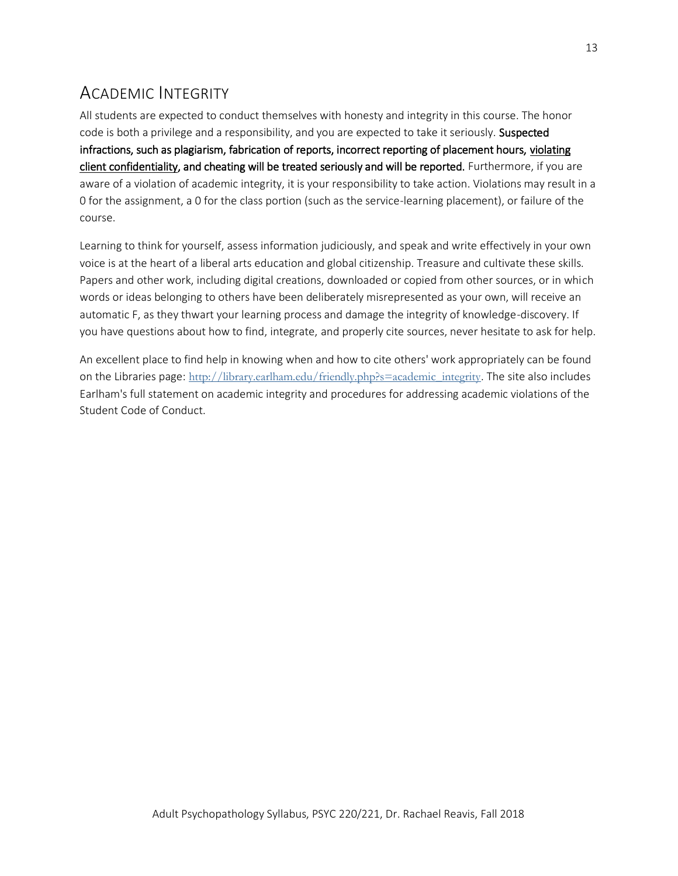## ACADEMIC INTEGRITY

All students are expected to conduct themselves with honesty and integrity in this course. The honor code is both a privilege and a responsibility, and you are expected to take it seriously. Suspected infractions, such as plagiarism, fabrication of reports, incorrect reporting of placement hours, violating client confidentiality, and cheating will be treated seriously and will be reported. Furthermore, if you are aware of a violation of academic integrity, it is your responsibility to take action. Violations may result in a 0 for the assignment, a 0 for the class portion (such as the service-learning placement), or failure of the course.

Learning to think for yourself, assess information judiciously, and speak and write effectively in your own voice is at the heart of a liberal arts education and global citizenship. Treasure and cultivate these skills. Papers and other work, including digital creations, downloaded or copied from other sources, or in which words or ideas belonging to others have been deliberately misrepresented as your own, will receive an automatic F, as they thwart your learning process and damage the integrity of knowledge-discovery. If you have questions about how to find, integrate, and properly cite sources, never hesitate to ask for help.

An excellent place to find help in knowing when and how to cite others' work appropriately can be found on the Libraries page: [http://library.earlham.edu/friendly.php?s=academic\\_integrity](http://library.earlham.edu/friendly.php?s=academic_integrity). The site also includes Earlham's full statement on academic integrity and procedures for addressing academic violations of the Student Code of Conduct.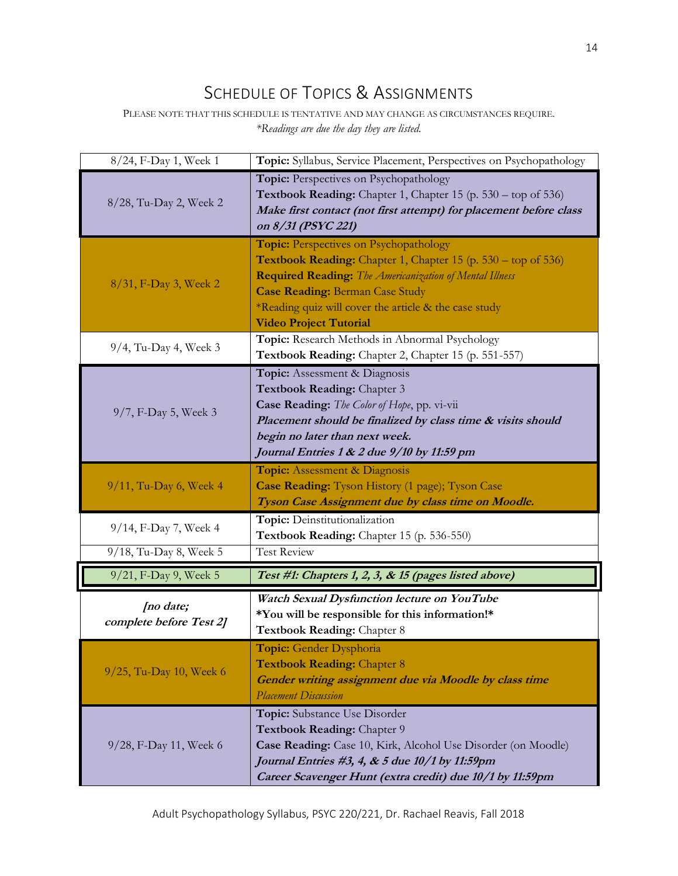## SCHEDULE OF TOPICS & ASSIGNMENTS

PLEASE NOTE THAT THIS SCHEDULE IS TENTATIVE AND MAY CHANGE AS CIRCUMSTANCES REQUIRE. *\*Readings are due the day they are listed.*

| 8/24, F-Day 1, Week 1                           | Topic: Syllabus, Service Placement, Perspectives on Psychopathology                                                                                                                                                                                                                                                  |
|-------------------------------------------------|----------------------------------------------------------------------------------------------------------------------------------------------------------------------------------------------------------------------------------------------------------------------------------------------------------------------|
| 8/28, Tu-Day 2, Week 2                          | Topic: Perspectives on Psychopathology<br><b>Textbook Reading:</b> Chapter 1, Chapter 15 (p. $530 - top$ of $536$ )<br>Make first contact (not first attempt) for placement before class<br>on 8/31 (PSYC 221)                                                                                                       |
| 8/31, F-Day 3, Week 2                           | <b>Topic:</b> Perspectives on Psychopathology<br>Textbook Reading: Chapter 1, Chapter 15 (p. 530 – top of 536)<br><b>Required Reading:</b> The Americanization of Mental Illness<br><b>Case Reading: Berman Case Study</b><br>*Reading quiz will cover the article & the case study<br><b>Video Project Tutorial</b> |
| 9/4, Tu-Day 4, Week 3                           | Topic: Research Methods in Abnormal Psychology<br>Textbook Reading: Chapter 2, Chapter 15 (p. 551-557)                                                                                                                                                                                                               |
| 9/7, F-Day 5, Week 3                            | Topic: Assessment & Diagnosis<br>Textbook Reading: Chapter 3<br>Case Reading: The Color of Hope, pp. vi-vii<br>Placement should be finalized by class time & visits should<br>begin no later than next week.<br>Journal Entries 1 & 2 due 9/10 by 11:59 pm                                                           |
| 9/11, Tu-Day 6, Week 4                          | <b>Topic:</b> Assessment & Diagnosis<br>Case Reading: Tyson History (1 page); Tyson Case<br>Tyson Case Assignment due by class time on Moodle.                                                                                                                                                                       |
| 9/14, F-Day 7, Week 4<br>9/18, Tu-Day 8, Week 5 | Topic: Deinstitutionalization<br>Textbook Reading: Chapter 15 (p. 536-550)<br><b>Test Review</b>                                                                                                                                                                                                                     |
| 9/21, F-Day 9, Week 5                           | Test #1: Chapters 1, 2, 3, & 15 (pages listed above)                                                                                                                                                                                                                                                                 |
| [no date;<br>complete before Test 2]            | Watch Sexual Dysfunction lecture on YouTube<br>*You will be responsible for this information!*<br>Textbook Reading: Chapter 8                                                                                                                                                                                        |
| 9/25, Tu-Day 10, Week 6                         | Topic: Gender Dysphoria<br><b>Textbook Reading: Chapter 8</b><br>Gender writing assignment due via Moodle by class time<br><b>Placement Discussion</b>                                                                                                                                                               |
| 9/28, F-Day 11, Week 6                          | Topic: Substance Use Disorder<br>Textbook Reading: Chapter 9<br>Case Reading: Case 10, Kirk, Alcohol Use Disorder (on Moodle)<br>Journal Entries #3, 4, & 5 due 10/1 by 11:59pm<br>Career Scavenger Hunt (extra credit) due 10/1 by 11:59pm                                                                          |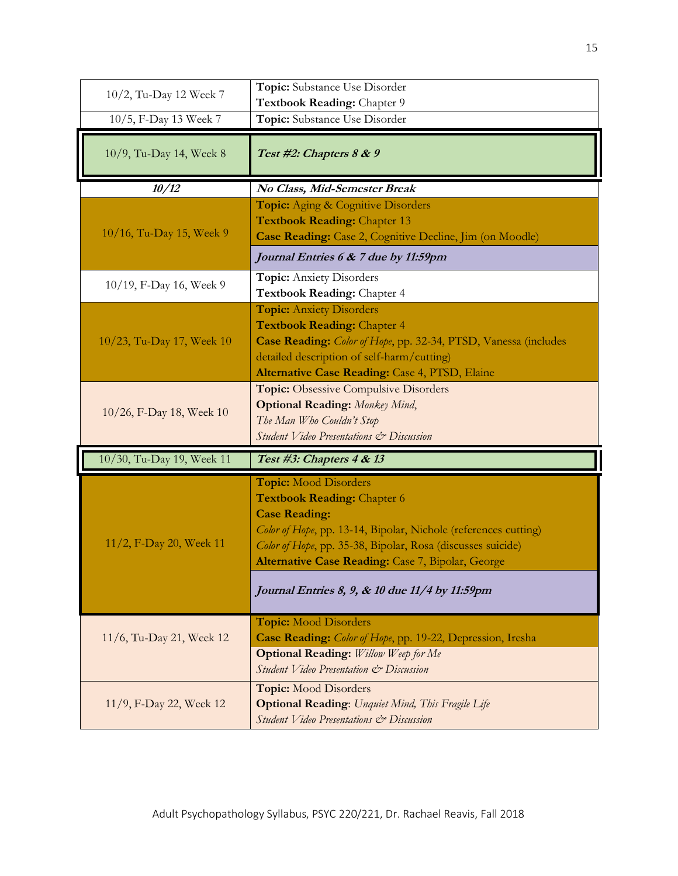| 10/2, Tu-Day 12 Week 7    | Topic: Substance Use Disorder<br>Textbook Reading: Chapter 9                                                                                                                                                                                                                                                                        |
|---------------------------|-------------------------------------------------------------------------------------------------------------------------------------------------------------------------------------------------------------------------------------------------------------------------------------------------------------------------------------|
| 10/5, F-Day 13 Week 7     | Topic: Substance Use Disorder                                                                                                                                                                                                                                                                                                       |
| 10/9, Tu-Day 14, Week 8   | Test #2: Chapters 8 & 9                                                                                                                                                                                                                                                                                                             |
| 10/12                     | No Class, Mid-Semester Break                                                                                                                                                                                                                                                                                                        |
| 10/16, Tu-Day 15, Week 9  | Topic: Aging & Cognitive Disorders<br><b>Textbook Reading: Chapter 13</b><br>Case Reading: Case 2, Cognitive Decline, Jim (on Moodle)                                                                                                                                                                                               |
|                           | Journal Entries 6 & 7 due by 11:59pm                                                                                                                                                                                                                                                                                                |
| 10/19, F-Day 16, Week 9   | <b>Topic:</b> Anxiety Disorders<br>Textbook Reading: Chapter 4                                                                                                                                                                                                                                                                      |
| 10/23, Tu-Day 17, Week 10 | <b>Topic:</b> Anxiety Disorders<br><b>Textbook Reading: Chapter 4</b><br>Case Reading: Color of Hope, pp. 32-34, PTSD, Vanessa (includes<br>detailed description of self-harm/cutting)<br>Alternative Case Reading: Case 4, PTSD, Elaine                                                                                            |
| 10/26, F-Day 18, Week 10  | <b>Topic:</b> Obsessive Compulsive Disorders<br><b>Optional Reading:</b> Monkey Mind,<br>The Man Who Couldn't Stop<br>Student Video Presentations & Discussion                                                                                                                                                                      |
| 10/30, Tu-Day 19, Week 11 | Test #3: Chapters 4 & 13                                                                                                                                                                                                                                                                                                            |
| 11/2, F-Day 20, Week 11   | <b>Topic:</b> Mood Disorders<br><b>Textbook Reading: Chapter 6</b><br><b>Case Reading:</b><br>Color of Hope, pp. 13-14, Bipolar, Nichole (references cutting)<br>Color of Hope, pp. 35-38, Bipolar, Rosa (discusses suicide)<br>Alternative Case Reading: Case 7, Bipolar, George<br>Journal Entries 8, 9, & 10 due 11/4 by 11:59pm |
| 11/6, Tu-Day 21, Week 12  | <b>Topic:</b> Mood Disorders<br>Case Reading: Color of Hope, pp. 19-22, Depression, Iresha<br><b>Optional Reading:</b> Willow Weep for Me<br>Student Video Presentation & Discussion                                                                                                                                                |
| 11/9, F-Day 22, Week 12   | <b>Topic:</b> Mood Disorders<br><b>Optional Reading:</b> Unquiet Mind, This Fragile Life<br>Student Video Presentations & Discussion                                                                                                                                                                                                |